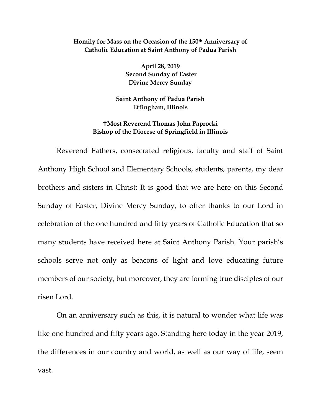## **Homily for Mass on the Occasion of the 150th Anniversary of Catholic Education at Saint Anthony of Padua Parish**

**April 28, 2019 Second Sunday of Easter Divine Mercy Sunday**

**Saint Anthony of Padua Parish Effingham, Illinois** 

## **Most Reverend Thomas John Paprocki Bishop of the Diocese of Springfield in Illinois**

Reverend Fathers, consecrated religious, faculty and staff of Saint Anthony High School and Elementary Schools, students, parents, my dear brothers and sisters in Christ: It is good that we are here on this Second Sunday of Easter, Divine Mercy Sunday, to offer thanks to our Lord in celebration of the one hundred and fifty years of Catholic Education that so many students have received here at Saint Anthony Parish. Your parish's schools serve not only as beacons of light and love educating future members of our society, but moreover, they are forming true disciples of our risen Lord.

On an anniversary such as this, it is natural to wonder what life was like one hundred and fifty years ago. Standing here today in the year 2019, the differences in our country and world, as well as our way of life, seem vast.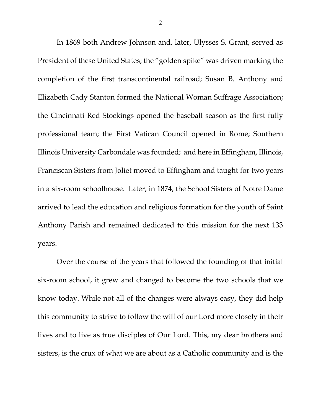In 1869 both Andrew Johnson and, later, Ulysses S. Grant, served as President of these United States; the "golden spike" was driven marking the completion of the first transcontinental railroad; Susan B. Anthony and Elizabeth Cady Stanton formed the National Woman Suffrage Association; the Cincinnati Red Stockings opened the baseball season as the first fully professional team; the First Vatican Council opened in Rome; Southern Illinois University Carbondale was founded; and here in Effingham, Illinois, Franciscan Sisters from Joliet moved to Effingham and taught for two years in a six-room schoolhouse. Later, in 1874, the School Sisters of Notre Dame arrived to lead the education and religious formation for the youth of Saint Anthony Parish and remained dedicated to this mission for the next 133 years.

Over the course of the years that followed the founding of that initial six-room school, it grew and changed to become the two schools that we know today. While not all of the changes were always easy, they did help this community to strive to follow the will of our Lord more closely in their lives and to live as true disciples of Our Lord. This, my dear brothers and sisters, is the crux of what we are about as a Catholic community and is the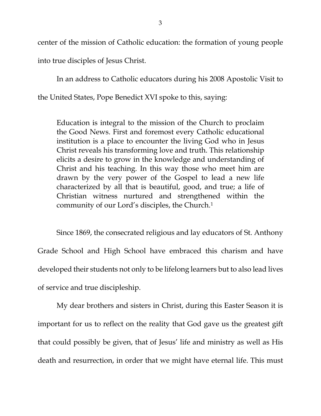center of the mission of Catholic education: the formation of young people into true disciples of Jesus Christ.

In an address to Catholic educators during his 2008 Apostolic Visit to the United States, Pope Benedict XVI spoke to this, saying:

Education is integral to the mission of the Church to proclaim the Good News. First and foremost every Catholic educational institution is a place to encounter the living God who in Jesus Christ reveals his transforming love and truth. This relationship elicits a desire to grow in the knowledge and understanding of Christ and his teaching. In this way those who meet him are drawn by the very power of the Gospel to lead a new life characterized by all that is beautiful, good, and true; a life of Christian witness nurtured and strengthened within the community of our Lord's disciples, the Church.[1](#page-2-0)

<span id="page-2-1"></span><span id="page-2-0"></span>Since 1869, the consecrated religious and lay educators of St. Anthony Grade School and High School have embraced this charism and have developed their students not only to be lifelong learners but to also lead lives of service and true discipleship.

My dear brothers and sisters in Christ, during this Easter Season it is important for us to reflect on the reality that God gave us the greatest gift that could possibly be given, that of Jesus' life and ministry as well as His death and resurrection, in order that we might have eternal life. This must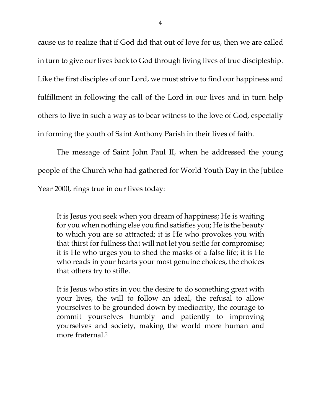cause us to realize that if God did that out of love for us, then we are called in turn to give our lives back to God through living lives of true discipleship. Like the first disciples of our Lord, we must strive to find our happiness and fulfillment in following the call of the Lord in our lives and in turn help others to live in such a way as to bear witness to the love of God, especially in forming the youth of Saint Anthony Parish in their lives of faith.

The message of Saint John Paul II, when he addressed the young people of the Church who had gathered for World Youth Day in the Jubilee Year 2000, rings true in our lives today:

It is Jesus you seek when you dream of happiness; He is waiting for you when nothing else you find satisfies you; He is the beauty to which you are so attracted; it is He who provokes you with that thirst for fullness that will not let you settle for compromise; it is He who urges you to shed the masks of a false life; it is He who reads in your hearts your most genuine choices, the choices that others try to stifle.

It is Jesus who stirs in you the desire to do something great with your lives, the will to follow an ideal, the refusal to allow yourselves to be grounded down by mediocrity, the courage to commit yourselves humbly and patiently to improving yourselves and society, making the world more human and more fraternal.[2](#page-2-1)